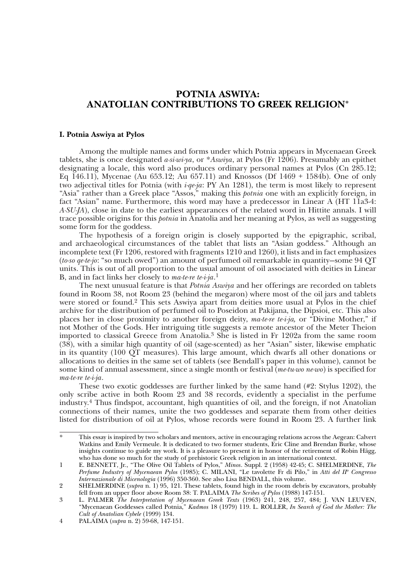# **POTNIA ASWIYA: ANATOLIAN CONTRIBUTIONS TO GREEK RELIGION\***

# **I. Potnia Aswiya at Pylos**

Among the multiple names and forms under which Potnia appears in Mycenaean Greek tablets, she is once designated *a-si-wi-ya*, or \**Aswiya*, at Pylos (Fr 1206). Presumably an epithet designating a locale, this word also produces ordinary personal names at Pylos (Cn 285.12; Eq 146.11), Mycenae (Au 653.12; Au 657.11) and Knossos (Df 1469 + 1584b). One of only two adjectival titles for Potnia (with *i-qe-ja*: PY An 1281), the term is most likely to represent "Asia" rather than a Greek place "Assos," making this *potnia* one with an explicitly foreign, in fact "Asian" name. Furthermore, this word may have a predecessor in Linear A (HT 11a3-4: *A-SU-JA*), close in date to the earliest appearances of the related word in Hittite annals. I will trace possible origins for this *potnia* in Anatolia and her meaning at Pylos, as well as suggesting some form for the goddess.

The hypothesis of a foreign origin is closely supported by the epigraphic, scribal, and archaeological circumstances of the tablet that lists an "Asian goddess." Although an incomplete text (Fr 1206, restored with fragments 1210 and 1260), it lists and in fact emphasizes (*to-so qe-te-jo*: "so much owed") an amount of perfumed oil remarkable in quantity—some 94 QT units. This is out of all proportion to the usual amount of oil associated with deities in Linear B, and in fact links her closely to *ma-te-re te-i-ja*. 1

The next unusual feature is that *Potnia Aswiya* and her offerings are recorded on tablets found in Room 38, not Room 23 (behind the megaron) where most of the oil jars and tablets were stored or found.<sup>2</sup> This sets Aswiya apart from deities more usual at Pylos in the chief archive for the distribution of perfumed oil to Poseidon at Pakijana, the Dipsioi, etc. This also places her in close proximity to another foreign deity, *ma-te-re te-i-ja,* or "Divine Mother," if not Mother of the Gods. Her intriguing title suggests a remote ancestor of the Meter Theion imported to classical Greece from Anatolia.3 She is listed in Fr 1202a from the same room (38), with a similar high quantity of oil (sage-scented) as her "Asian" sister, likewise emphatic in its quantity (100 QT measures). This large amount, which dwarfs all other donations or allocations to deities in the same set of tablets (see Bendall's paper in this volume), cannot be some kind of annual assessment, since a single month or festival (*me-tu-wo ne-wo*) is specified for *ma-te-re te-i-ja*.

These two exotic goddesses are further linked by the same hand (#2: Stylus 1202), the only scribe active in both Room 23 and 38 records, evidently a specialist in the perfume industry.4 Thus findspot, accountant, high quantities of oil, and the foreign, if not Anatolian connections of their names, unite the two goddesses and separate them from other deities listed for distribution of oil at Pylos, whose records were found in Room 23. A further link

<sup>\*</sup> This essay is inspired by two scholars and mentors, active in encouraging relations across the Aegean: Calvert Watkins and Emily Vermeule. It is dedicated to two former students, Eric Cline and Brendan Burke, whose insights continue to guide my work. It is a pleasure to present it in honor of the retirement of Robin Hägg, who has done so much for the study of prehistoric Greek religion in an international context.

<sup>1</sup> E. BENNETT, Jr., "The Olive Oil Tablets of Pylos," *Minos*. Suppl. 2 (1958) 42-45; C. SHELMERDINE, *The Perfume Industry of Mycenaean Pylos* (1985); C. MILANI, "Le tavolette Fr di Pilo," in *Atti del IIo Congresso Internazionale di Micenologia* (1996) 350-360. See also Lisa BENDALL, this volume.

<sup>2</sup> SHELMERDINE (*supra* n. 1) 95, 121. These tablets, found high in the room debris by excavators, probably fell from an upper floor above Room 38: T. PALAIMA *The Scribes of Pylos* (1988) 147-151.

<sup>3</sup> L. PALMER *The Interpretation of Mycenaean Greek Texts* (1963) 241, 248, 257, 484; J. VAN LEUVEN, "Mycenaean Goddesses called Potnia," *Kadmos* 18 (1979) 119. L. ROLLER, *In Search of God the Mother: The Cult of Anatolian Cybele* (1999) 134.

<sup>4</sup> PALAIMA (*supra* n. 2) 59-68, 147-151.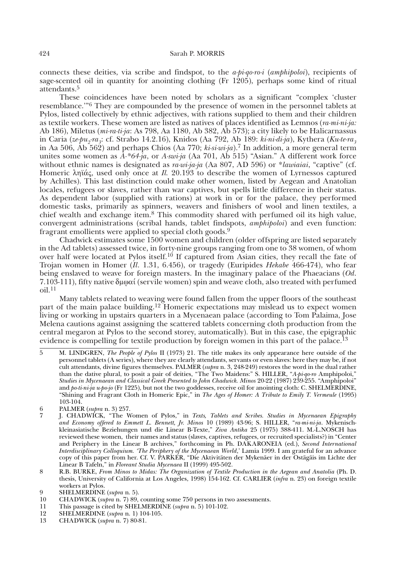connects these deities, via scribe and findspot, to the *a-pi-qo-ro-i* (*amphipoloi*), recipients of sage-scented oil in quantity for anointing clothing  $(Fr 1205)$ , perhaps some kind of ritual attendants.5

These coincidences have been noted by scholars as a significant "complex 'cluster resemblance.'"6 They are compounded by the presence of women in the personnel tablets at Pylos, listed collectively by ethnic adjectives, with rations supplied to them and their children as textile workers. These women are listed as natives of places identified as Lemnos (*ra-mi-ni-ja:* Ab 186), Miletus (*mi-ra-ti-ja*: As 798, Aa 1180, Ab 382, Ab 573); a city likely to be Halicarnassus in Caria (*ze-pu2-ra3*: cf. Strabo 14.2.16), Knidos (Aa 792, Ab 189: *ki-ni-di-ja*), Kythera (*Ku-te-ra3* in Aa 506, Ab 562) and perhaps Chios (Aa 770; *ki-si-wi-ja*).7 In addition, a more general term unites some women as *A-\*64-ja*, or *A-swi-ja* (Aa 701, Ab 515) "Asian." A different work force without ethnic names is designated as *ra-wi-ja-ja* (Aa 807, AD 596) or \**lawiaiai*, "captive" (cf. Homeric ληϊάς, used only once at *Il.* 20.193 to describe the women of Lyrnessos captured by Achilles). This last distinction could make other women, listed by Aegean and Anatolian locales, refugees or slaves, rather than war captives, but spells little difference in their status. As dependent labor (supplied with rations) at work in or for the palace, they performed domestic tasks, primarily as spinners, weavers and finishers of wool and linen textiles, a chief wealth and exchange item.8 This commodity shared with perfumed oil its high value, convergent administrations (scribal hands, tablet findspots, *amphipoloi*) and even function: fragrant emollients were applied to special cloth goods.<sup>9</sup>

Chadwick estimates some 1500 women and children (older offspring are listed separately in the Ad tablets) assessed twice, in forty-nine groups ranging from one to 38 women, of whom over half were located at Pylos itself.<sup>10</sup> If captured from Asian cities, they recall the fate of Trojan women in Homer (*Il*. 1.31, 6.456), or tragedy (Euripides *Hekabe* 466-474), who fear being enslaved to weave for foreign masters. In the imaginary palace of the Phaeacians (*Od*. 7.103-111), fifty native  $\delta \mu \varphi \alpha i$  (servile women) spin and weave cloth, also treated with perfumed  $\Omega$ <sub>11</sub>

Many tablets related to weaving were found fallen from the upper floors of the southeast part of the main palace building.<sup>12</sup> Homeric expectations may mislead us to expect women living or working in upstairs quarters in a Mycenaean palace (according to Tom Palaima, Jose Melena cautions against assigning the scattered tablets concerning cloth production from the central megaron at Pylos to the second storey, automatically). But in this case, the epigraphic evidence is compelling for textile production by foreign women in this part of the palace.<sup>13</sup>

<sup>5</sup> M. LINDGREN, *The People of Pylos* II (1973) 21. The title makes its only appearance here outside of the personnel tablets (A series), where they are clearly attendants, servants or even slaves: here they may be, if not cult attendants, divine figures themselves. PALMER (*supra* n. 3, 248-249) restores the word in the dual rather than the dative plural, to posit a pair of deities, "The Two Maidens:" S. HILLER, "*A-pi-qo-ro* Amphipoloi," *Studies in Mycenaean and Classical Greek Presented to John Chadwick. Minos* 20-22 (1987) 239-255. "Amphipoloi" and *po-ti-ni-ja u-po-jo* (Fr 1225), but not the two goddesses, receive oil for anointing cloth: C. SHELMERDINE, "Shining and Fragrant Cloth in Homeric Epic," in *The Ages of Homer: A Tribute to Emily T. Vermeule* (1995) 103-104.

<sup>6</sup> PALMER (*supra* n. 3) 257.

<sup>7</sup> J. CHADWICK, "The Women of Pylos," in *Texts, Tablets and Scribes. Studies in Mycenaean Epigraphy and Economy offered to Emmett L. Bennett, Jr. Minos* 10 (1989) 43-96; S. HILLER, "*ra-mi-ni-ja*. Mykenischkleinasiatische Beziehungen und die Linear B-Texte," *Ziva Antika* 25 (1975) 388-411. M.-L.NOSCH has reviewed these women, their names and status (slaves, captives, refugees, or recruited specialists?) in "Center and Periphery in the Linear B archives," forthcoming in Ph. DAKARONEIA (ed.), *Second International Interdisciplinary Colloquium. 'The Periphery of the Mycenaean World*,' Lamia 1999. I am grateful for an advance copy of this paper from her. Cf. V. PARKER, "Die Aktivitäten der Mykenäer in der Ostägäis im Lichte der Linear B Tafeln," in *Floreant Studia Mycenaea* II (1999) 495-502.

<sup>8</sup> R.B. BURKE, *From Minos to Midas: The Organization of Textile Production in the Aegean and Anatolia* (Ph. D. thesis, University of California at Los Angeles, 1998) 154-162. Cf. CARLIER (*infra* n. 23) on foreign textile workers at Pylos.

<sup>9</sup> **SHELMERDINE** (*supra* n. 5).<br>10 **CHADWICK** (*supra* n. 7) 89,

<sup>10</sup> CHADWICK (*supra* n. 7) 89, counting some 750 persons in two assessments.<br>11 This passage is cited by SHELMERDINE (*supra* n. 5) 101-102.

<sup>11</sup> This passage is cited by SHELMERDINE (*supra* n. 5) 101-102.

<sup>12</sup> SHELMERDINE (*supra* n. 1) 104-105.

<sup>13</sup> CHADWICK (*supra* n. 7) 80-81.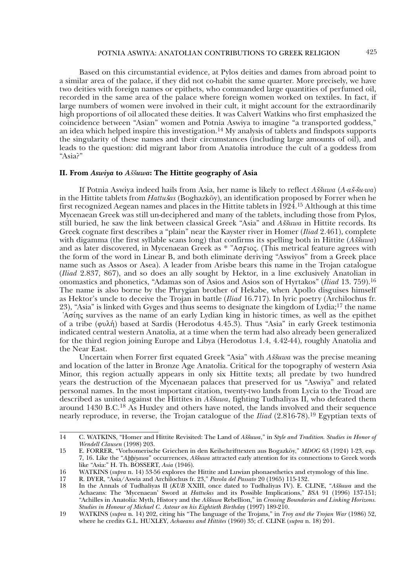Based on this circumstantial evidence, at Pylos deities and dames from abroad point to a similar area of the palace, if they did not co-habit the same quarter. More precisely, we have two deities with foreign names or epithets, who commanded large quantities of perfumed oil, recorded in the same area of the palace where foreign women worked on textiles. In fact, if large numbers of women were involved in their cult, it might account for the extraordinarily high proportions of oil allocated these deities. It was Calvert Watkins who first emphasized the coincidence between "Asian" women and Potnia Aswiya to imagine "a transported goddess," an idea which helped inspire this investigation.<sup>14</sup> My analysis of tablets and findspots supports the singularity of these names and their circumstances (including large amounts of oil), and leads to the question: did migrant labor from Anatolia introduce the cult of a goddess from "Asia?"

# **II. From Aswiya to Aššuwa: The Hittite geography of Asia**

If Potnia Aswiya indeed hails from Asia, her name is likely to reflect *Aššuwa* (*A-aš-šu-wa*) in the Hittite tablets from *Hattušas* (Boghazköy), an identification proposed by Forrer when he first recognized Aegean names and places in the Hittite tablets in  $\overline{1924}$ .<sup>15</sup> Although at this time Mycenaean Greek was still un-deciphered and many of the tablets, including those from Pylos, still buried, he saw the link between classical Greek "Asia" and *Aššuwa* in Hittite records. Its Greek cognate first describes a "plain" near the Kayster river in Homer (*Iliad* 2.461), complete with digamma (the first syllable scans long) that confirms its spelling both in Hittite (Aššuwa) and as later discovered, in Mycenaean Greek as \* " $A\sigma$ Floc. (This metrical feature agrees with the form of the word in Linear B, and both eliminate deriving "Aswiyos" from a Greek place name such as Assos or Asea). A leader from Arisbe bears this name in the Trojan catalogue (*Iliad* 2.837, 867), and so does an ally sought by Hektor, in a line exclusively Anatolian in onomastics and phonetics, "Adamas son of Asios and Asios son of Hyrtakos" (*Iliad* 13. 759).16 The name is also borne by the Phrygian brother of Hekabe, when Apollo disguises himself as Hektor's uncle to deceive the Trojan in battle (*Iliad* 16.717). In lyric poetry (Archilochus fr. 23), "Asia" is linked with Gyges and thus seems to designate the kingdom of Lydia;<sup>17</sup> the name  $A\sigma$ ing survives as the name of an early Lydian king in historic times, as well as the epithet of a tribe ( $\varphi$ υλή) based at Sardis (Herodotus 4.45.3). Thus "Asia" in early Greek testimonia indicated central western Anatolia, at a time when the term had also already been generalized for the third region joining Europe and Libya (Herodotus 1.4, 4.42-44), roughly Anatolia and the Near East.

Uncertain when Forrer first equated Greek "Asia" with *Aššuwa* was the precise meaning and location of the latter in Bronze Age Anatolia. Critical for the topography of western Asia Minor, this region actually appears in only six Hittite texts; all predate by two hundred years the destruction of the Mycenaean palaces that preserved for us "Aswiya" and related personal names. In the most important citation, twenty-two lands from Lycia to the Troad are described as united against the Hittites in *Aššuwa*, fighting Tudhaliyas II, who defeated them around 1430 B.C.18 As Huxley and others have noted, the lands involved and their sequence nearly reproduce, in reverse, the Trojan catalogue of the *Iliad* (2.816-78).19 Egyptian texts of

<sup>14</sup> C. WATKINS, "Homer and Hittite Revisited: The Land of *Aššuwa*," in *Style and Tradition. Studies in Honor of Wendell Clausen* (1998) 203.

<sup>15</sup> E. FORRER, "Vorhomerische Griechen in den Keilschrifttexten aus Bogazköy," *MDOG* 63 (1924) 1-23, esp. 7, 16. Like the "*Abbiyawa*" occurrences, *Aššuwa* attracted early attention for its connections to Greek words like "Asia:" H. Th. BOSSERT, *Asia* (1946).

<sup>16</sup> WATKINS (*supra* n. 14) 53-56 explores the Hittite and Luwian phonaesthetics and etymology of this line.<br>17 R. DYER. "Asia/Aswia and Archilochus fr. 23." *Parola del Passato* 20 (1965) 115-132.

<sup>17</sup> R. DYER, "Asia/Aswia and Archilochus fr. 23," *Parola del Passato* 20 (1965) 115-132.

<sup>18</sup> In the Annals of Tudhaliyas II (*KUB* XXIII, once dated to Tudhaliyas IV). E. CLINE, "*Aššuwa* and the Achaeans: The 'Mycenaean' Sword at *Hattušas* and its Possible Implications," *BSA* 91 (1996) 137-151; "Achilles in Anatolia: Myth, History and the *Aššuwa* Rebellion," in *Crossing Boundaries and Linking Horizons. Studies in Honour of Michael C. Astour on his Eightieth Birthday* (1997) 189-210.

<sup>19</sup> WATKINS (*supra* n. 14) 202, citing his "The language of the Trojans," in *Troy and the Trojan War* (1986) 52, where he credits G.L. HUXLEY, *Achaeans and Hittites* (1960) 35; cf. CLINE (*supra* n. 18) 201.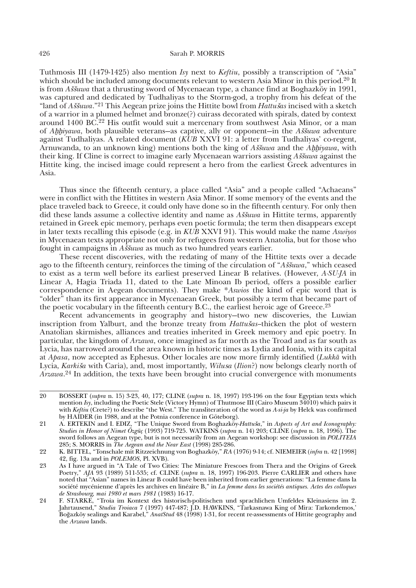Tuthmosis III (1479-1425) also mention *Isy* next to *Keftiu*, possibly a transcription of "Asia" which should be included among documents relevant to western Asia Minor in this period.<sup>20</sup> It is from *Aššuwa* that a thrusting sword of Mycenaean type, a chance find at Boghazköy in 1991, was captured and dedicated by Tudhaliyas to the Storm-god, a trophy from his defeat of the "land of *Aššuwa*."<sup>21</sup> This Aegean prize joins the Hittite bowl from *Hattušas* incised with a sketch of a warrior in a plumed helmet and bronze(?) cuirass decorated with spirals, dated by context around 1400 BC.22 His outfit would suit a mercenary from southwest Asia Minor, or a man of *Ahhiyawa*, both plausible veterans—as captive, ally or opponent—in the *A*s<sup>k</sup>uwa adventure against Tudhaliyas. A related document (*KUB* XXVI 91: a letter from Tudhaliyas' co-regent, Arnuwanda, to an unknown king) mentions both the king of *A*ssiawa and the *Ahhiyawa*, with their king. If Cline is correct to imagine early Mycenaean warriors assisting *A*ssuwa against the Hittite king, the incised image could represent a hero from the earliest Greek adventures in Asia.

Thus since the fifteenth century, a place called "Asia" and a people called "Achaeans" were in conflict with the Hittites in western Asia Minor. If some memory of the events and the place traveled back to Greece, it could only have done so in the fifteenth century. For only then did these lands assume a collective identity and name as *Aššuwa* in Hittite terms, apparently retained in Greek epic memory, perhaps even poetic formula; the term then disappears except in later texts recalling this episode (e.g. in *KUB* XXVI 91). This would make the name *Aswiyos*  in Mycenaean texts appropriate not only for refugees from western Anatolia, but for those who fought in campaigns in  $\tilde{A} \tilde{s} \tilde{s} u w a$  as much as two hundred years earlier.

These recent discoveries, with the redating of many of the Hittite texts over a decade ago to the fifteenth century, reinforces the timing of the circulation of "Assuma," which ceased to exist as a term well before its earliest preserved Linear B relatives. (However, *A-SU-JA* in Linear A, Hagia Triada 11, dated to the Late Minoan Ib period, offers a possible earlier correspondence in Aegean documents). They make \**Aswios* the kind of epic word that is "older" than its first appearance in Mycenaean Greek, but possibly a term that became part of the poetic vocabulary in the fifteenth century B.C., the earliest heroic age of Greece.23

Recent advancements in geography and history—two new discoveries, the Luwian inscription from Yalburt, and the bronze treaty from *Hattušas*-thicken the plot of western Anatolian skirmishes, alliances and treaties inherited in Greek memory and epic poetry. In particular, the kingdom of *Arzawa*, once imagined as far north as the Troad and as far south as Lycia, has narrowed around the area known in historic times as Lydia and Ionia, with its capital at *Apasa*, now accepted as Ephesus. Other locales are now more firmly identified (*Lukkà* with Lycia, *Karki*<sup>e</sup>*a* with Caria), and, most importantly, *Wilu*s*a* (*Ilion*?) now belongs clearly north of *Arzawa*. 24 In addition, the texts have been brought into crucial convergence with monuments

<sup>20</sup> BOSSERT (*supra* n. 15) 3-23, 40, 177; CLINE (*supra* n. 18, 1997) 193-196 on the four Egyptian texts which mention *Isy*, including the Poetic Stele (Victory Hymn) of Thutmose III (Cairo Museum 34010) which pairs it with *Keftiu* (Crete?) to describe "the West." The transliteration of the word as *A-si-ja* by Helck was confirmed by HAIDER (in 1988, and at the Potnia conference in Göteborg).

<sup>21</sup> A. ERTEKIN and I. EDIZ, "The Unique Sword from Boghazköy-Hattuša," in Aspects of Art and Iconography: *Studies in Honor of Nimet Özgüç* (1993) 719-725. WATKINS (*supra* n. 14) 203; CLINE (*supra* n. 18, 1996). The sword follows an Aegean type, but is not necessarily from an Aegean workshop: see discussion in *POLITEIA* 285; S. MORRIS in *The Aegean and the Near East* (1998) 285-286.

<sup>22</sup> K. BITTEL, "Tonschale mit Ritzzeichnung von Boghazköy," *RA* (1976) 9-14; cf. NIEMEIER (*infra* n. 42 [1998] 42, fig. 13a and in *POLEMOS*, Pl. XVB).

<sup>23</sup> As I have argued in "A Tale of Two Cities: The Miniature Frescoes from Thera and the Origins of Greek Poetry," *AJA* 93 (1989) 511-535; cf. CLINE (*supra* n. 18, 1997) 196-203. Pierre CARLIER and others have noted that "Asian" names in Linear B could have been inherited from earlier generations: "La femme dans la société mycénienne d'après les archives en linéaire B," in *La femme dans les sociétés antiques. Actes des colloques de Strasbourg, mai 1980 et mars 1981* (1983) 16-17.

<sup>24</sup> F. STARKE, "Troia im Kontext des historisch-politischen und sprachlichen Umfeldes Kleinasiens im 2. Jahrtausend," *Studia Troiaca* 7 (1997) 447-487; J.D. HAWKINS, "Tarkasnawa King of Mira: Tarkondemos,' Boğazköy sealings and Karabel," *AnatStud* 48 (1998) 1-31, for recent re-assessments of Hittite geography and the *Arzawa* lands.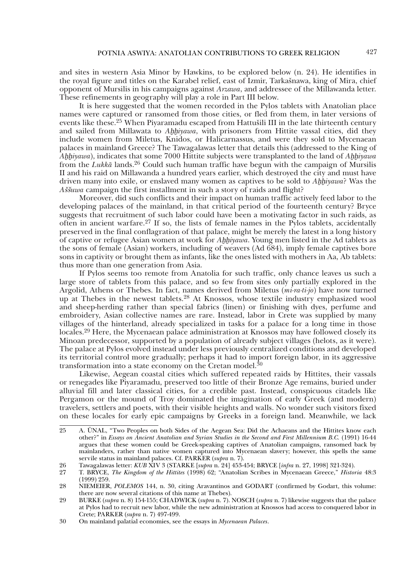and sites in western Asia Minor by Hawkins, to be explored below (n. 24). He identifies in the royal figure and titles on the Karabel relief, east of Izmir, Tarkašnawa, king of Mira, chief opponent of Mursilis in his campaigns against *Arzawa*, and addressee of the Millawanda letter. These refinements in geography will play a role in Part III below.

It is here suggested that the women recorded in the Pylos tablets with Anatolian place names were captured or ransomed from those cities, or fled from them, in later versions of events like these.25 When Piyaramadu escaped from Hattušili III in the late thirteenth century and sailed from Millawata to *Ahhiyawa*, with prisoners from Hittite vassal cities, did they include women from Miletus, Knidos, or Halicarnassus, and were they sold to Mycenaean palaces in mainland Greece? The Tawagalawas letter that details this (addressed to the King of *Ahhiyawa*), indicates that some 7000 Hittite subjects were transplanted to the land of *Ahhiyawa* from the *Lukkà* lands.26 Could such human traffic have begun with the campaign of Mursilis II and his raid on Millawanda a hundred years earlier, which destroyed the city and must have driven many into exile, or enslaved many women as captives to be sold to *Ahhiyawa*? Was the *Asšuwa* campaign the first installment in such a story of raids and flight?

Moreover, did such conflicts and their impact on human traffic actively feed labor to the developing palaces of the mainland, in that critical period of the fourteenth century? Bryce suggests that recruitment of such labor could have been a motivating factor in such raids, as often in ancient warfare.<sup>27</sup> If so, the lists of female names in the Pylos tablets, accidentally preserved in the final conflagration of that palace, might be merely the latest in a long history of captive or refugee Asian women at work for *Ahhiyawa*. Young men listed in the Ad tablets as the sons of female (Asian) workers, including of weavers (Ad 684), imply female captives bore sons in captivity or brought them as infants, like the ones listed with mothers in Aa, Ab tablets: thus more than one generation from Asia.

If Pylos seems too remote from Anatolia for such traffic, only chance leaves us such a large store of tablets from this palace, and so few from sites only partially explored in the Argolid, Athens or Thebes. In fact, names derived from Miletus (*mi-ra-ti-jo*) have now turned up at Thebes in the newest tablets.28 At Knossos, whose textile industry emphasized wool and sheep-herding rather than special fabrics (linen) or finishing with dyes, perfume and embroidery, Asian collective names are rare. Instead, labor in Crete was supplied by many villages of the hinterland, already specialized in tasks for a palace for a long time in those locales.29 Here, the Mycenaean palace administration at Knossos may have followed closely its Minoan predecessor, supported by a population of already subject villages (helots, as it were). The palace at Pylos evolved instead under less previously centralized conditions and developed its territorial control more gradually; perhaps it had to import foreign labor, in its aggressive transformation into a state economy on the Cretan model. $30$ 

Likewise, Aegean coastal cities which suffered repeated raids by Hittites, their vassals or renegades like Piyaramadu, preserved too little of their Bronze Age remains, buried under alluvial fill and later classical cities, for a credible past. Instead, conspicuous citadels like Pergamon or the mound of Troy dominated the imagination of early Greek (and modern) travelers, settlers and poets, with their visible heights and walls. No wonder such visitors fixed on these locales for early epic campaigns by Greeks in a foreign land. Meanwhile, we lack

<sup>25</sup> A. ÜNAL, "Two Peoples on both Sides of the Aegean Sea: Did the Achaeans and the Hittites know each other?" in *Essays on Ancient Anatolian and Syrian Studies in the Second and First Millennium B.C.* (1991) 16-44 argues that these women could be Greek-speaking captives of Anatolian campaigns, ransomed back by mainlanders, rather than native women captured into Mycenaean slavery; however, this spells the same servile status in mainland palaces. Cf. PARKER (*supra* n. 7).

<sup>26</sup> Tawagalawas letter: *KUB* XIV 3 (STARKE [*supra* n. 24] 453-454; BRYCE [*infra* n. 27, 1998] 321-324).

<sup>27</sup> T. BRYCE, *The Kingdom of the Hittites* (1998) 62; "Anatolian Scribes in Mycenaean Greece," *Historia* 48:3 (1999) 259.

<sup>28</sup> NIEMEIER, *POLEMOS* 144, n. 30, citing Aravantinos and GODART (confirmed by Godart, this volume: there are now several citations of this name at Thebes).

<sup>29</sup> BURKE (*supra* n. 8) 154-155; CHADWICK (*supra* n. 7). NOSCH (*supra* n. 7) likewise suggests that the palace at Pylos had to recruit new labor, while the new administration at Knossos had access to conquered labor in Crete; PARKER (*supra* n. 7) 497-499.

<sup>30</sup> On mainland palatial economies, see the essays in *Mycenaean Palaces*.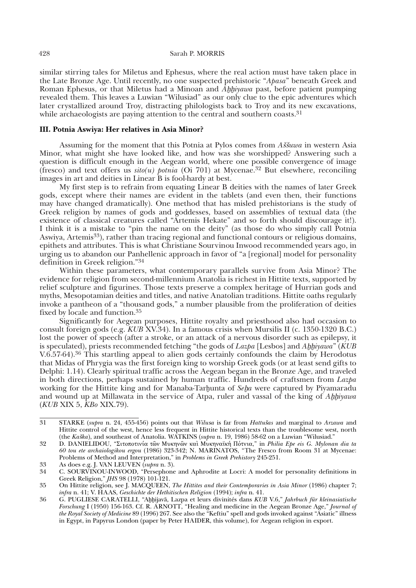similar stirring tales for Miletus and Ephesus, where the real action must have taken place in the Late Bronze Age. Until recently, no one suspected prehistoric "*Apasa*" beneath Greek and Roman Ephesus, or that Miletus had a Minoan and *Ahhiyawa* past, before patient pumping revealed them. This leaves a Luwian "Wilusiad" as our only clue to the epic adventures which later crystallized around Troy, distracting philologists back to Troy and its new excavations, while archaeologists are paying attention to the central and southern coasts.<sup>31</sup>

## **III. Potnia Aswiya: Her relatives in Asia Minor?**

Assuming for the moment that this Potnia at Pylos comes from *Aššuwa* in western Asia Minor, what might she have looked like, and how was she worshipped? Answering such a question is difficult enough in the Aegean world, where one possible convergence of image (fresco) and text offers us  $\textit{sito}(u)$  *potnia* (Oi 701) at Mycenae.<sup>32</sup> But elsewhere, reconciling images in art and deities in Linear B is fool-hardy at best.

My first step is to refrain from equating Linear B deities with the names of later Greek gods, except where their names are evident in the tablets (and even then, their functions may have changed dramatically). One method that has misled prehistorians is the study of Greek religion by names of gods and goddesses, based on assemblies of textual data (the existence of classical creatures called "Artemis Hekate" and so forth should discourage it!). I think it is a mistake to "pin the name on the deity" (as those do who simply call Potnia Aswiya, Artemis<sup>33</sup>), rather than tracing regional and functional contours or religious domains, epithets and attributes. This is what Christiane Sourvinou Inwood recommended years ago, in urging us to abandon our Panhellenic approach in favor of "a [regional] model for personality definition in Greek religion."34

Within these parameters, what contemporary parallels survive from Asia Minor? The evidence for religion from second-millennium Anatolia is richest in Hittite texts, supported by relief sculpture and figurines. Those texts preserve a complex heritage of Hurrian gods and myths, Mesopotamian deities and titles, and native Anatolian traditions. Hittite oaths regularly invoke a pantheon of a "thousand gods," a number plausible from the proliferation of deities fixed by locale and function.35

Significantly for Aegean purposes, Hittite royalty and priesthood also had occasion to consult foreign gods (e.g. *KUB* XV.34). In a famous crisis when Mursilis II (c. 1350-1320 B.C.) lost the power of speech (after a stroke, or an attack of a nervous disorder such as epilepsy, it is speculated), priests recommended fetching "the gods of *Lazpa* [Lesbos] and *Ahhiyawa*" (*KUB* V.6.57-64).36 This startling appeal to alien gods certainly confounds the claim by Herodotus that Midas of Phrygia was the first foreign king to worship Greek gods (or at least send gifts to Delphi: 1.14). Clearly spiritual traffic across the Aegean began in the Bronze Age, and traveled in both directions, perhaps sustained by human traffic. Hundreds of craftsmen from *Lazpa*  working for the Hittite king and for Manaba-Tarhunta of *Seha* were captured by Piyamaradu and wound up at Millawata in the service of Atpa, ruler and vassal of the king of *Ahhiyawa* (*KUB* XIX 5, *KBo* XIX.79).

<sup>31</sup> STARKE (*supra* n. 24, 455-456) points out that *Wilu*s*a* is far from *Hattu*<sup>e</sup>*as* and marginal to *Arzawa* and Hittite control of the west, hence less frequent in Hittite historical texts than the troublesome west, north (the *Ka*<sup>e</sup>*ka*), and southeast of Anatolia. WATKINS (*supra* n. 19, 1986) 58-62 on a Luwian "Wilusiad."

<sup>32</sup> D. DANIELIDOU, "Sitopotinía tôn Mukhnôn kaì Mukhnaïk} Pótnia," in *Philia Epe eis G. Mylonan dia ta 60 tou ete archaiologikou ergou* (1986) 323-342; N. MARINATOS, "The Fresco from Room 31 at Mycenae: Problems of Method and Interpretation," in *Problems in Greek Prehistory* 245-251.

<sup>33</sup> As does e.g. J. VAN LEUVEN (*supra* n. 3).

<sup>34</sup> C. SOURVINOU-INWOOD, "Persephone and Aphrodite at Locri: A model for personality definitions in Greek Religion," *JHS* 98 (1978) 101-121.

<sup>35</sup> On Hittite religion, see J. MACQUEEN, *The Hittites and their Contemporaries in Asia Minor* (1986) chapter 7; *infra* n. 41; V. HAAS, *Geschichte der Hethitischen Religion* (1994); *infra* n. 41.

<sup>36</sup> G. PUGLIESE CARATELLI, "Aqqijavà, Lazpa et leurs divinités dans *KUB* V.6," *Jahrbuch für kleinasiatische Forschung* I (1950) 156-163. Cf. R. ARNOTT, "Healing and medicine in the Aegean Bronze Age," *Journal of the Royal Society of Medicine* 89 (1996) 267. See also the "Keftiu" spell and gods invoked against "Asiatic" illness in Egypt, in Papyrus London (paper by Peter HAIDER, this volume), for Aegean religion in export.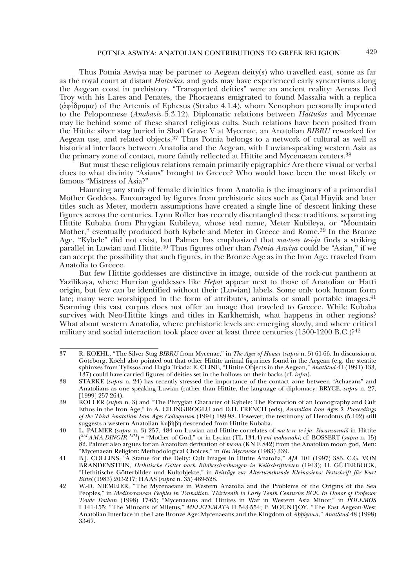Thus Potnia Aswiya may be partner to Aegean deity(s) who travelled east, some as far as the royal court at distant *Hattu*<sup>e</sup>*as*, and gods may have experienced early syncretisms along the Aegean coast in prehistory. "Transported deities" were an ancient reality: Aeneas fled Troy with his Lares and Penates, the Phocaeans emigrated to found Massalia with a replica  $(\dot{\alpha} \varphi(\delta \rho \nu) \mu \alpha)$  of the Artemis of Ephesus (Strabo 4.1.4), whom Xenophon personally imported to the Peloponnese (*Anabasis* 5.3.12). Diplomatic relations between *Hattušas* and Mycenae may lie behind some of these shared religious cults. Such relations have been posited from the Hittite silver stag buried in Shaft Grave V at Mycenae, an Anatolian *BIBRU* reworked for Aegean use, and related objects.37 Thus Potnia belongs to a network of cultural as well as historical interfaces between Anatolia and the Aegean, with Luwian-speaking western Asia as the primary zone of contact, more faintly reflected at Hittite and Mycenaean centers.<sup>38</sup>

But must these religious relations remain primarily epigraphic? Are there visual or verbal clues to what divinity "Asians" brought to Greece? Who would have been the most likely or famous "Mistress of Asia?"

Haunting any study of female divinities from Anatolia is the imaginary of a primordial Mother Goddess. Encouraged by figures from prehistoric sites such as Çatal Hüyük and later titles such as Meter, modern assumptions have created a single line of descent linking these figures across the centuries. Lynn Roller has recently disentangled these traditions, separating Hittite Kubaba from Phrygian Kubileya, whose real name, Meter Kubileya, or "Mountain Mother," eventually produced both Kybele and Meter in Greece and Rome.<sup>39</sup> In the Bronze Age, "Kybele" did not exist, but Palmer has emphasized that *ma-te-re te-i-ja* finds a striking parallel in Luwian and Hittite.40 Thus figures other than *Potnia Aswiya* could be "Asian," if we can accept the possibility that such figures, in the Bronze Age as in the Iron Age, traveled from Anatolia to Greece.

But few Hittite goddesses are distinctive in image, outside of the rock-cut pantheon at Yazilikaya, where Hurrian goddesses like *Hepat* appear next to those of Anatolian or Hatti origin, but few can be identified without their (Luwian) labels. Some only took human form late; many were worshipped in the form of attributes, animals or small portable images.<sup>41</sup> Scanning this vast corpus does not offer an image that traveled to Greece. While Kubaba survives with Neo-Hittite kings and titles in Karkhemish, what happens in other regions? What about western Anatolia, where prehistoric levels are emerging slowly, and where critical military and social interaction took place over at least three centuries  $(1500-1200 \text{ B.C.})^{242}$ 

<sup>37</sup> R. KOEHL, "The Silver Stag *BIBRU* from Mycenae," in *The Ages of Homer* (*supra* n. 5) 61-66. In discussion at Göteborg, Koehl also pointed out that other Hittite animal figurines found in the Aegean (e.g. the steatite sphinxes from Tylissos and Hagia Triada: E. CLINE, "Hittite Objects in the Aegean," *AnatStud* 41 (1991) 133, 137) could have carried figures of deities set in the hollows on their backs (cf. *infra*).

<sup>38</sup> STARKE (*supra* n. 24) has recently stressed the importance of the contact zone between "Achaeans" and Anatolians as one speaking Luwian (rather than Hittite, the language of diplomacy: BRYCE, *supra* n. 27, [1999] 257-264).

<sup>39</sup> ROLLER (*supra* n. 3) and "The Phrygian Character of Kybele: The Formation of an Iconography and Cult Ethos in the Iron Age," in A. CILINGIROGLU and D.H. FRENCH (eds), *Anatolian Iron Ages 3. Proceedings of the Third Anatolian Iron Ages Colloquium* (1994) 189-98. However, the testimony of Herodotus (5.102) still suggests a western Anatolian Κυβήβη descended from Hittite Kubaba.

<sup>40</sup> L. PALMER (*supra* n. 3) 257, 484 on Luwian and Hittite correlates of *ma-te-re te-i-ja*: <sup>e</sup>*iwanzanni*<sup>e</sup> in Hittite (*SALAMA.DINGIR LIM*) = "Mother of God," or in Lycian (TL 134.4) *eni mahanahi*; cf. BOSSERT (*supra* n. 15) 82. Palmer also argues for an Anatolian derivation of *me-na* (KN E 842) from the Anatolian moon god, Men: "Mycenaean Religion: Methodological Choices," in *Res Myceneae* (1983) 339.

<sup>41</sup> B.J. COLLINS, "A Statue for the Deity: Cult Images in Hittite Anatolia," *AJA* 101 (1997) 383. C.G. VON BRANDENSTEIN, *Hethitische Götter nach Bildbeschreibungen in Keilschrifttexten* (1943); H. GÜTERBOCK, "Hethitische Götterbilder und Kultobjekte," in *Beiträge zur Altertumskunde Kleinasiens: Festschrift für Kurt Bittel* (1983) 203-217; HAAS (*supra* n. 35) 489-528.

<sup>42</sup> W.-D. NIEMEIER, "The Mycenaeans in Western Anatolia and the Problems of the Origins of the Sea Peoples," in *Mediterranean Peoples in Transition. Thirteenth to Early Tenth Centuries BCE. In Honor of Professor Trude Dothan* (1998) 17-65; "Mycenaeans and Hittites in War in Western Asia Minor," in *POLEMOS* I 141-155; "The Minoans of Miletus," *MELETEMATA* II 543-554; P. MOUNTJOY, "The East Aegean-West Anatolian Interface in the Late Bronze Age: Mycenaeans and the Kingdom of *Abbiyawa*," *AnatStud* 48 (1998) 33-67.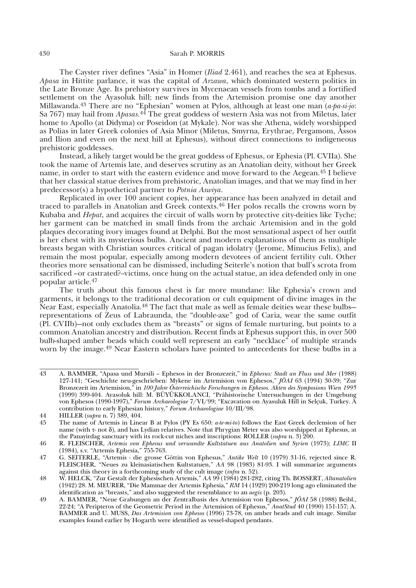#### 430 Sarah P. MORRIS

The Cayster river defines "Asia" in Homer (*Iliad* 2.461), and reaches the sea at Ephesus. *Apasa* in Hittite parlance, it was the capital of *Arzawa*, which dominated western politics in the Late Bronze Age. Its prehistory survives in Mycenaean vessels from tombs and a fortified settlement on the Ayasoluk hill; new finds from the Artemision promise one day another Millawanda.43 There are no "Ephesian" women at Pylos, although at least one man (*a-pa-si-jo*: Sa 767) may hail from *Apasas.*<sup>44</sup> The great goddess of western Asia was not from Miletus, later home to Apollo (at Didyma) or Poseidon (at Mykale). Nor was she Athena, widely worshipped as Polias in later Greek colonies of Asia Minor (Miletus, Smyrna, Erythrae, Pergamom, Assos and Ilion and even on the next hill at Ephesus), without direct connections to indigeneous prehistoric goddesses.

Instead, a likely target would be the great goddess of Ephesus, or Ephesia (Pl. CVIIa). She took the name of Artemis late, and deserves scrutiny as an Anatolian deity, without her Greek name, in order to start with the eastern evidence and move forward to the Aegean.45 I believe that her classical statue derives from prehistoric, Anatolian images, and that we may find in her predecessor(s) a hypothetical partner to *Potnia Aswiya*.

Replicated in over 100 ancient copies, her appearance has been analyzed in detail and traced to parallels in Anatolian and Greek contexts.46 Her polos recalls the crowns worn by Kubaba and *Hepat*, and acquires the circuit of walls worn by protective city-deities like Tyche; her garment can be matched in small finds from the archaic Artemision and in the gold plaques decorating ivory images found at Delphi. But the most sensational aspect of her outfit is her chest with its mysterious bulbs. Ancient and modern explanations of them as multiple breasts began with Christian sources critical of pagan idolatry (Jerome, Minucius Felix), and remain the most popular, especially among modern devotees of ancient fertility cult. Other theories more sensational can be dismissed, including Seiterle's notion that bull's scrota from sacrificed –or castrated?--victims, once hung on the actual statue, an idea defended only in one popular article.47

The truth about this famous chest is far more mundane: like Ephesia's crown and garments, it belongs to the traditional decoration or cult equipment of divine images in the Near East, especially Anatolia.48 The fact that male as well as female deities wear these bulbs representations of Zeus of Labraunda, the "double-axe" god of Caria, wear the same outfit (Pl. CVIIb)—not only excludes them as "breasts" or signs of female nurturing, but points to a common Anatolian ancestry and distribution. Recent finds at Ephesus support this, in over 500 bulb-shaped amber beads which could well represent an early "necklace" of multiple strands worn by the image.49 Near Eastern scholars have pointed to antecedents for these bulbs in a

<sup>43</sup> A. BAMMER, "Apasa und Mursili – Ephesos in der Bronzezeit," in *Ephesus: Stadt an Fluss und Mer* (1988) 127-141; "Geschichte neu-geschrieben: Mykene im Artemision von Ephesos," *JÖAI* 63 (1994) 30-39; "Zur Bronzezeit im Artemision," in *100 Jahre Österreichische Forschungen in Ephesos. Akten des Symposions Wien 1995* (1999) 399-404. Ayasoluk hill: M. BÜYÜKKOLANCI, "Prähistorische Untersuchungen in der Umgebung von Ephesos (1990-1997)," *Forum Archaeologiae* 7/VI/99; "Excavation on Ayasuluk Hill in Selçuk, Turkey. A contribution to early Ephesian history," *Forum Archaeologiae* 10/III/98.

<sup>44</sup> HILLER (*supra* n. 7) 389, 404.

<sup>45</sup> The name of Artemis in Linear B at Pylos (PY Es 650: *a-te-mi-to*) follows the East Greek declension of her name (with  $\tau$ - not  $\delta$ ), and has Lydian relatives. Note that Phrygian Meter was also worshipped at Ephesus, at the Panayirdag sanctuary with its rock-cut niches and inscriptions: ROLLER (*supra* n. 3) 200.

<sup>46</sup> R. FLEISCHER, *Artemis von Ephesus und verwandte Kultstatuen aus Anatolien und Syrien* (1973); *LIMC* II (1984), s.v. "Artemis Ephesia," 755-763.

<sup>47</sup> G. SEITERLE, "Artemis - die grosse Göttin von Ephesus," *Antike Welt* 10 (1979) 31-16, rejected since R. FLEISCHER, "Neues zu kleinasiatischen Kultstatuen," *AA* 98 (1983) 81-93. I will summarize arguments against this theory in a forthcoming study of the cult image (*infra* n. 52).

<sup>48</sup> W. HELCK, "Zur Gestalt der Ephesischen Artemis," *AA* 99 (1984) 281-282, citing Th. BOSSERT, *Altanatolien*  (1942) 28. M. MEURER, "Die Mammae der Artemis Ephesia," *RM* 14 (1929) 200-219 long ago eliminated the identification as "breasts," and also suggested the resemblance to an *aegis* (p. 203).

<sup>49</sup> A. BAMMER, "Neue Grabungen an der Zentralbasis des Artemision von Ephesos," *JÖAI* 58 (1988) Beibl., 22-24; "A Peripteros of the Geometric Period in the Artemision of Ephesus," *AnatStud* 40 (1990) 151-157; A. BAMMER and U. MUSS, *Das Artemision von Ephesos* (1996) 73-78, on amber beads and cult image. Similar examples found earlier by Hogarth were identified as vessel-shaped pendants.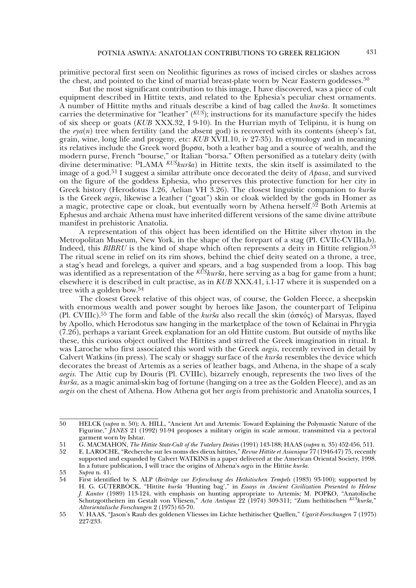primitive pectoral first seen on Neolithic figurines as rows of incised circles or slashes across the chest, and pointed to the kind of martial breast-plate worn by Near Eastern goddesses.<sup>50</sup>

But the most significant contribution to this image, I have discovered, was a piece of cult equipment described in Hittite texts, and related to the Ephesia's peculiar chest ornaments. A number of Hittite myths and rituals describe a kind of bag called the *kurša*. It sometimes carries the determinative for "leather"  $(KU\delta)$ ; instructions for its manufacture specify the hides of six sheep or goats (*KUB* XXX.32, I 9-10). In the Hurrian myth of Telipinu, it is hung on the  $eya(n)$  tree when fertility (and the absent god) is recovered with its contents (sheep's fat, grain, wine, long life and progeny, etc: *KUB* XVII.10, iv 27-35). In etymology and in meaning its relatives include the Greek word βυρσα, both a leather bag and a source of wealth, and the modern purse, French "bourse," or Italian "borsa." Often personified as a tutelary deity (with divine determinative: <sup>D</sup>LAMA <sup>*KUS*</sup>*kurša*) in Hittite texts, the skin itself is assimilated to the image of a god.51 I suggest a similar attribute once decorated the deity of *Apasa*, and survived on the figure of the goddess Ephesia, who preserves this protective function for her city in Greek history (Herodotus 1.26, Aelian VH 3.26). The closest linguistic companion to *kurša* is the Greek *aegis*, likewise a leather ("goat") skin or cloak wielded by the gods in Homer as a magic, protective cape or cloak, but eventually worn by Athena herself.<sup>52</sup> Both Artemis at Ephesus and archaic Athena must have inherited different versions of the same divine attribute manifest in prehistoric Anatolia.

A representation of this object has been identified on the Hittite silver rhyton in the Metropolitan Museum, New York, in the shape of the forepart of a stag (Pl. CVIIc-CVIIIa,b). Indeed, this *BIBRU* is the kind of shape which often represents a deity in Hittite religion.<sup>53</sup> The ritual scene in relief on its rim shows, behind the chief deity seated on a throne, a tree, a stag's head and forelegs, a quiver and spears, and a bag suspended from a loop. This bag was identified as a representation of the  $K^{US}kur\dot{s}a$ , here serving as a bag for game from a hunt; elsewhere it is described in cult practise, as in *KUB* XXX.41, i.1-17 where it is suspended on a tree with a golden bow.54

The closest Greek relative of this object was, of course, the Golden Fleece, a sheepskin with enormous wealth and power sought by heroes like Jason, the counterpart of Telipinu (Pl. CVIIIc).<sup>55</sup> The form and fable of the *kurša* also recall the skin ( $\dot{\alpha} \sigma \kappa \acute{o} \varsigma$ ) of Marsyas, flayed by Apollo, which Herodotus saw hanging in the marketplace of the town of Kelainai in Phrygia (7.26), perhaps a variant Greek explanation for an old Hittite custom. But outside of myths like these, this curious object outlived the Hittites and stirred the Greek imagination in ritual. It was Laroche who first associated this word with the Greek *aegis*, recently revived in detail by Calvert Watkins (in press). The scaly or shaggy surface of the *kurša* resembles the device which decorates the breast of Artemis as a series of leather bags, and Athena, in the shape of a scaly *aegis.* The Attic cup by Douris (Pl. CVIIIc), bizarrely enough, represents the two lives of the *kurša*, as a magic animal-skin bag of fortune (hanging on a tree as the Golden Fleece), and as an *aegis* on the chest of Athena. How Athena got her *aegis* from prehistoric and Anatolia sources, I

<sup>50</sup> HELCK (*supra* n. 50); A. HILL, "Ancient Art and Artemis: Toward Explaining the Polymastic Nature of the Figurine," *JANES* 21 (1992) 91-94 proposes a military origin in scale armour, transmitted via a pectoral garment worn by Ishtar.

<sup>51</sup> G. MACMAHON, *The Hittite State-Cult of the Tutelary Deities* (1991) 143-188; HAAS (*supra* n. 35) 452-456, 511.

<sup>52</sup> E. LAROCHE, "Recherche sur les noms des dieux hittites," *Revue Hittite et Asianique* 77 (1946-47) 75, recently supported and expanded by Calvert WATKINS in a paper delivered at the American Oriental Society, 1998. In a future publication, I will trace the origins of Athena's *aegis* in the Hittite *kurša*.

<sup>53</sup> *Supra* n. 41.

<sup>54</sup> First identified by S. ALP (*Beiträge zur Erforschung des Hethitischen Tempels* (1983) 93-100); supported by H. G. GÜTERBÓCK, "Hittite *kurša* 'Hunting bag'," in *Essays in Ancient Civilization Presented to Helene J. Kantor* (1989) 113-124, with emphasis on hunting appropriate to Artemis; M. POPKO, "Anatolische Schutzgottheiten im Gestalt von Vliesen," *Acta Antiqua* 22 (1974) 309-311; "Zum hethitischen *KU<sup>E</sup>kur*<sup>e</sup>*a*," *Altorientalische Forschungen* 2 (1975) 65-70.

<sup>55</sup> V. HAAS, "Jason's Raub des goldenen Vliesses im Lichte hethitischer Quellen," *Ugarit-Forschungen* 7 (1975) 227-233.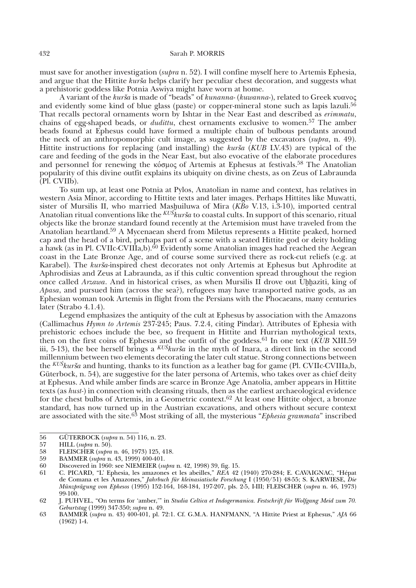must save for another investigation (*supra* n. 52). I will confine myself here to Artemis Ephesia, and argue that the Hittite *kurša* helps clarify her peculiar chest decoration, and suggests what a prehistoric goddess like Potnia Aswiya might have worn at home.

A variant of the *kurša* is made of "beads" of *kunanna-* (*kuwanna-*), related to Greek κυανος and evidently some kind of blue glass (paste) or copper-mineral stone such as lapis lazuli.<sup>56</sup> That recalls pectoral ornaments worn by Ishtar in the Near East and described as *erimmatu*, chains of egg-shaped beads, or *dudittu*, chest ornaments exclusive to women.57 The amber beads found at Ephesus could have formed a multiple chain of bulbous pendants around the neck of an anthropomorphic cult image, as suggested by the excavators (*supra*, n. 49). Hittite instructions for replacing (and installing) the *kurša* (*KUB* LV.43) are typical of the care and feeding of the gods in the Near East, but also evocative of the elaborate procedures and personnel for renewing the  $\kappa \acute{o}$  guos of Artemis at Ephesus at festivals.<sup>58</sup> The Anatolian popularity of this divine outfit explains its ubiquity on divine chests, as on Zeus of Labraunda (Pl. CVIIb).

To sum up, at least one Potnia at Pylos, Anatolian in name and context, has relatives in western Asia Minor, according to Hittite texts and later images. Perhaps Hittites like Muwatti, sister of Mursilis II, who married Masquiluwa of Mira (*KBo* V.13, i.3-10), imported central Anatolian ritual conventions like the <sup>KUŠ</sup>kurša to coastal cults. In support of this scenario, ritual objects like the bronze standard found recently at the Artemision must have traveled from the Anatolian heartland.59 A Mycenaean sherd from Miletus represents a Hittite peaked, horned cap and the head of a bird, perhaps part of a scene with a seated Hittite god or deity holding a hawk (as in Pl. CVIIc-CVIIIa,b).<sup>60</sup> Evidently some Anatolian images had reached the Aegean coast in the Late Bronze Age, and of course some survived there as rock-cut reliefs (e.g. at Karabel). The *kurša*-inspired chest decorates not only Artemis at Ephesus but Aphrodite at Aphrodisias and Zeus at Labraunda, as if this cultic convention spread throughout the region once called *Arzawa*. And in historical crises, as when Mursilis II drove out Unhaziti, king of *Apasa*, and pursued him (across the sea?), refugees may have transported native gods, as an Ephesian woman took Artemis in flight from the Persians with the Phocaeans, many centuries later (Strabo 4.1.4).

Legend emphasizes the antiquity of the cult at Ephesus by association with the Amazons (Callimachus *Hymn to Artemis* 237-245; Paus. 7.2.4, citing Pindar). Attributes of Ephesia with prehistoric echoes include the bee, so frequent in Hittite and Hurrian mythological texts, then on the first coins of Ephesus and the outfit of the goddess.<sup>61</sup> In one text (*KUB* XIII.59) iii, 5-13), the bee herself brings a  $KU\dot{S}kur\dot{S}a$  in the myth of Inara, a direct link in the second millennium between two elements decorating the later cult statue. Strong connections between the *KU*<sup>*skursa* and hunting, thanks to its function as a leather bag for game (Pl. CVIIc-CVIIIa,b,</sup> Güterbock, n. 54), are suggestive for the later persona of Artemis, who takes over as chief deity at Ephesus. And while amber finds are scarce in Bronze Age Anatolia, amber appears in Hittite texts (as *hust*-) in connection with cleansing rituals, then as the earliest archaeological evidence for the chest bulbs of Artemis, in a Geometric context.<sup>62</sup> At least one Hittite object, a bronze standard, has now turned up in the Austrian excavations, and others without secure context are associated with the site.63 Most striking of all, the mysterious "*Ephesia grammata*" inscribed

<sup>56</sup> GÜTERBOCK (*supra* n. 54) 116, n. 23.

<sup>57</sup> HILL (*supra* n. 50).

<sup>58</sup> FLEISCHER (*supra* n. 46, 1973) 125, 418.

<sup>59</sup> BAMMER (*supra* n. 43, 1999) 400-401.

<sup>60</sup> Discovered in 1960: see NIEMEIER (*supra* n. 42, 1998) 39, fig. 15.

<sup>61</sup> C. PICARD, "L' Ephesia, les amazones et les abeilles," *REA* 42 (1940) 270-284; E. CAVAIGNAC, "Hépat de Comana et les Amazones," *Jahrbuch für kleinasiatische Forschung* I (1950/51) 48-55; S. KARWIESE, *Die Münzprägung von Ephesos* (1995) 152-164, 168-184, 197-207, pls. 2-5, I-III; FLEISCHER (*supra* n. 46, 1973) 99-100.

<sup>62</sup> J. PUHVEL, "On terms for 'amber,'" in *Studia Celtica et Indogermanica. Festschrift für Wolfgang Meid zum 70. Geburtstag* (1999) 347-350; *supra* n. 49.

<sup>63</sup> BAMMER (*supra* n. 43) 400-401, pl. 72:1. Cf. G.M.A. HANFMANN, "A Hittite Priest at Ephesus," *AJA* 66 (1962) 1-4.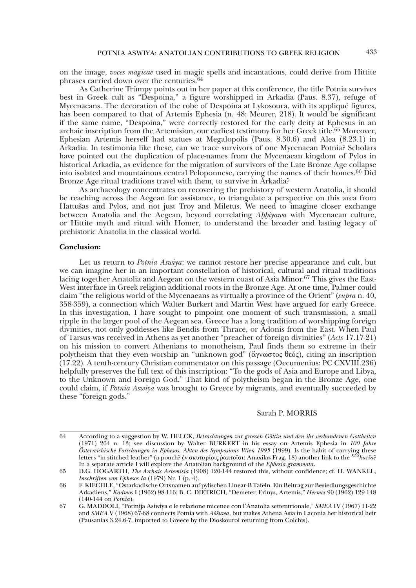on the image, *voces magicae* used in magic spells and incantations, could derive from Hittite phrases carried down over the centuries.<sup>64</sup>

As Catherine Trümpy points out in her paper at this conference, the title Potnia survives best in Greek cult as "Despoina," a figure worshipped in Arkadia (Paus. 8.37), refuge of Mycenaeans. The decoration of the robe of Despoina at Lykosoura, with its appliqué figures, has been compared to that of Artemis Ephesia (n. 48: Meurer, 218). It would be significant if the same name, "Despoina," were correctly restored for the early deity at Ephesus in an archaic inscription from the Artemision, our earliest testimony for her Greek title.65 Moreover, Ephesian Artemis herself had statues at Megalopolis (Paus. 8.30.6) and Alea (8.23.1) in Arkadia. In testimonia like these, can we trace survivors of one Mycenaean Potnia? Scholars have pointed out the duplication of place-names from the Mycenaean kingdom of Pylos in historical Arkadia, as evidence for the migration of survivors of the Late Bronze Age collapse into isolated and mountainous central Peloponnese, carrying the names of their homes.66 Did Bronze Age ritual traditions travel with them, to survive in Arkadia?

As archaeology concentrates on recovering the prehistory of western Anatolia, it should be reaching across the Aegean for assistance, to triangulate a perspective on this area from Hattušas and Pylos, and not just Troy and Miletus. We need to imagine closer exchange between Anatolia and the Aegean, beyond correlating *Ahhiyawa* with Mycenaean culture, or Hittite myth and ritual with Homer, to understand the broader and lasting legacy of prehistoric Anatolia in the classical world.

## **Conclusion:**

Let us return to *Potnia Aswiya*: we cannot restore her precise appearance and cult, but we can imagine her in an important constellation of historical, cultural and ritual traditions lacing together Anatolia and Aegean on the western coast of Asia Minor.67 This gives the East-West interface in Greek religion additional roots in the Bronze Age. At one time, Palmer could claim "the religious world of the Mycenaeans as virtually a province of the Orient" (*supra* n. 40, 358-359), a connection which Walter Burkert and Martin West have argued for early Greece. In this investigation, I have sought to pinpoint one moment of such transmission, a small ripple in the larger pool of the Aegean sea. Greece has a long tradition of worshipping foreign divinities, not only goddesses like Bendis from Thrace, or Adonis from the East. When Paul of Tarsus was received in Athens as yet another "preacher of foreign divinities" (*Acts* 17.17-21) on his mission to convert Athenians to monotheism, Paul finds them so extreme in their polytheism that they even worship an "unknown god" ( $\alpha$ yvωστος θεός), citing an inscription (17.22). A tenth-century Christian commentator on this passage (Oecumenius: PC CXVIII.236) helpfully preserves the full text of this inscription: "To the gods of Asia and Europe and Libya, to the Unknown and Foreign God." That kind of polytheism began in the Bronze Age, one could claim, if *Potnia Aswiya* was brought to Greece by migrants, and eventually succeeded by these "foreign gods."

#### Sarah P. MORRIS

<sup>64</sup> According to a suggestion by W. HELCK, *Betrachtungen zur grossen Göttin und den ihr verbundenen Gottheiten* (1971) 264 n. 13; see discussion by Walter BURKERT in his essay on Artemis Ephesia in *100 Jahre Österreichische Forschungen in Ephesos. Akten des Symposions Wien 1995* (1999). Is the habit of carrying these letters "in stitched leather" (a pouch? ἐν σκυταρίοις ραπτοῖσι: Anaxilas Frag. 18) another link to the <sup>κυβ</sup>kurša? In a separate article I will explore the Anatolian background of the *Ephesia grammata*.

<sup>65</sup> D.G. HOGARTH, *The Archaic Artemisia* (1908) 120-144 restored this, without confidence; cf. H. WANKEL, *Inschriften von Ephesos Ia* (1979) Nr. 1 (p. 4).

<sup>66</sup> F. KIECHLE, "Ostarkadische Ortsnamen auf pylischen Linear-B Tafeln. Ein Beitrag zur Besiedlungsgeschichte Arkadiens," *Kadmos* I (1962) 98-116; B. C. DIETRICH, "Demeter, Erinys, Artemis," *Hermes* 90 (1962) 129-148 (140-144 on *Potnia*).

<sup>67</sup> G. MADDOLI, "Potinija Asiwiya e le relazione micenee con l'Anatolia settentrionale," *SMEA* IV (1967) 11-22 and *SMEA V* (1968) 67-68 connects Potnia with *Aššuwa*, but makes Athena Asia in Laconia her historical heir (Pausanias 3.24.6-7, imported to Greece by the Dioskouroi returning from Colchis).